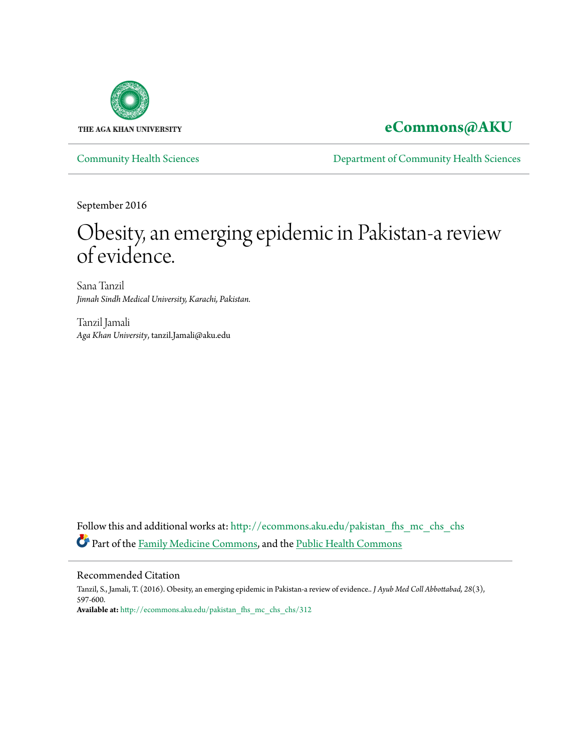

# **[eCommons@AKU](http://ecommons.aku.edu?utm_source=ecommons.aku.edu%2Fpakistan_fhs_mc_chs_chs%2F312&utm_medium=PDF&utm_campaign=PDFCoverPages)**

[Community Health Sciences](http://ecommons.aku.edu/pakistan_fhs_mc_chs_chs?utm_source=ecommons.aku.edu%2Fpakistan_fhs_mc_chs_chs%2F312&utm_medium=PDF&utm_campaign=PDFCoverPages) [Department of Community Health Sciences](http://ecommons.aku.edu/pakistan_fhs_mc_chs?utm_source=ecommons.aku.edu%2Fpakistan_fhs_mc_chs_chs%2F312&utm_medium=PDF&utm_campaign=PDFCoverPages)

September 2016

# Obesity, an emerging epidemic in Pakistan-a review of evidence.

Sana Tanzil *Jinnah Sindh Medical University, Karachi, Pakistan.*

Tanzil Jamali *Aga Khan University*, tanzil.Jamali@aku.edu

Follow this and additional works at: [http://ecommons.aku.edu/pakistan\\_fhs\\_mc\\_chs\\_chs](http://ecommons.aku.edu/pakistan_fhs_mc_chs_chs?utm_source=ecommons.aku.edu%2Fpakistan_fhs_mc_chs_chs%2F312&utm_medium=PDF&utm_campaign=PDFCoverPages) Part of the [Family Medicine Commons](http://network.bepress.com/hgg/discipline/1354?utm_source=ecommons.aku.edu%2Fpakistan_fhs_mc_chs_chs%2F312&utm_medium=PDF&utm_campaign=PDFCoverPages), and the [Public Health Commons](http://network.bepress.com/hgg/discipline/738?utm_source=ecommons.aku.edu%2Fpakistan_fhs_mc_chs_chs%2F312&utm_medium=PDF&utm_campaign=PDFCoverPages)

#### Recommended Citation

Tanzil, S., Jamali, T. (2016). Obesity, an emerging epidemic in Pakistan-a review of evidence.. *J Ayub Med Coll Abbottabad, 28*(3), 597-600. **Available at:** [http://ecommons.aku.edu/pakistan\\_fhs\\_mc\\_chs\\_chs/312](http://ecommons.aku.edu/pakistan_fhs_mc_chs_chs/312)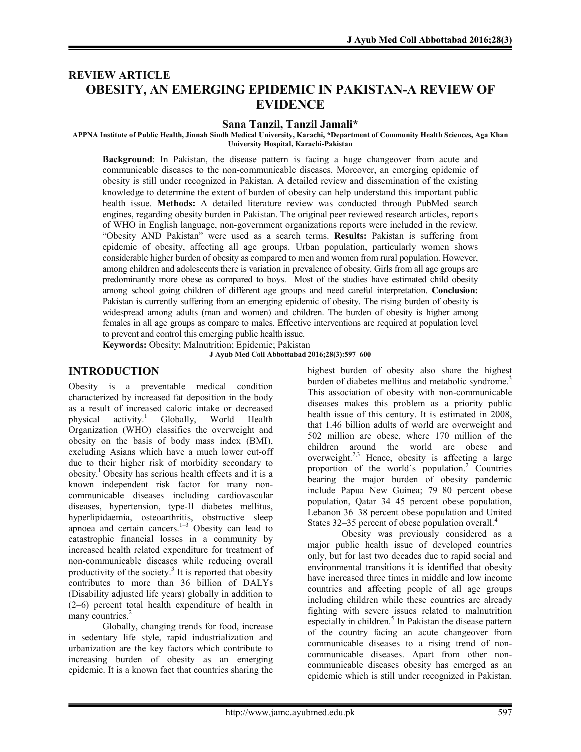# REVIEW ARTICLE OBESITY, AN EMERGING EPIDEMIC IN PAKISTAN-A REVIEW OF EVIDENCE

#### Sana Tanzil, Tanzil Jamali\*

APPNA Institute of Public Health, Jinnah Sindh Medical University, Karachi, \*Department of Community Health Sciences, Aga Khan University Hospital, Karachi-Pakistan

Background: In Pakistan, the disease pattern is facing a huge changeover from acute and communicable diseases to the non-communicable diseases. Moreover, an emerging epidemic of obesity is still under recognized in Pakistan. A detailed review and dissemination of the existing knowledge to determine the extent of burden of obesity can help understand this important public health issue. Methods: A detailed literature review was conducted through PubMed search engines, regarding obesity burden in Pakistan. The original peer reviewed research articles, reports of WHO in English language, non-government organizations reports were included in the review. "Obesity AND Pakistan" were used as a search terms. Results: Pakistan is suffering from epidemic of obesity, affecting all age groups. Urban population, particularly women shows considerable higher burden of obesity as compared to men and women from rural population. However, among children and adolescents there is variation in prevalence of obesity. Girls from all age groups are predominantly more obese as compared to boys. Most of the studies have estimated child obesity among school going children of different age groups and need careful interpretation. Conclusion: Pakistan is currently suffering from an emerging epidemic of obesity. The rising burden of obesity is widespread among adults (man and women) and children. The burden of obesity is higher among females in all age groups as compare to males. Effective interventions are required at population level to prevent and control this emerging public health issue.

Keywords: Obesity; Malnutrition; Epidemic; Pakistan

J Ayub Med Coll Abbottabad 2016;28(3):597–600

#### INTRODUCTION

Obesity is a preventable medical condition characterized by increased fat deposition in the body as a result of increased caloric intake or decreased physical activity. <sup>1</sup> Globally, World Health Organization (WHO) classifies the overweight and obesity on the basis of body mass index (BMI), excluding Asians which have a much lower cut-off due to their higher risk of morbidity secondary to obesity. <sup>1</sup> Obesity has serious health effects and it is a known independent risk factor for many noncommunicable diseases including cardiovascular diseases, hypertension, type-II diabetes mellitus, hyperlipidaemia, osteoarthritis, obstructive sleep apnoea and certain cancers. $1-3$  Obesity can lead to catastrophic financial losses in a community by increased health related expenditure for treatment of non-communicable diseases while reducing overall productivity of the society.<sup>3</sup> It is reported that obesity contributes to more than 36 billion of DALYs (Disability adjusted life years) globally in addition to (2–6) percent total health expenditure of health in many countries.<sup>2</sup>

Globally, changing trends for food, increase in sedentary life style, rapid industrialization and urbanization are the key factors which contribute to increasing burden of obesity as an emerging epidemic. It is a known fact that countries sharing the highest burden of obesity also share the highest burden of diabetes mellitus and metabolic syndrome.<sup>3</sup> This association of obesity with non-communicable diseases makes this problem as a priority public health issue of this century. It is estimated in 2008, that 1.46 billion adults of world are overweight and 502 million are obese, where 170 million of the children around the world are obese and overweight.<sup>2,3</sup> Hence, obesity is affecting a large proportion of the world`s population. 2 Countries bearing the major burden of obesity pandemic include Papua New Guinea; 79–80 percent obese population, Qatar 34–45 percent obese population, Lebanon 36–38 percent obese population and United States 32-35 percent of obese population overall.<sup>4</sup>

Obesity was previously considered as a major public health issue of developed countries only, but for last two decades due to rapid social and environmental transitions it is identified that obesity have increased three times in middle and low income countries and affecting people of all age groups including children while these countries are already fighting with severe issues related to malnutrition especially in children.<sup>5</sup> In Pakistan the disease pattern of the country facing an acute changeover from communicable diseases to a rising trend of noncommunicable diseases. Apart from other noncommunicable diseases obesity has emerged as an epidemic which is still under recognized in Pakistan.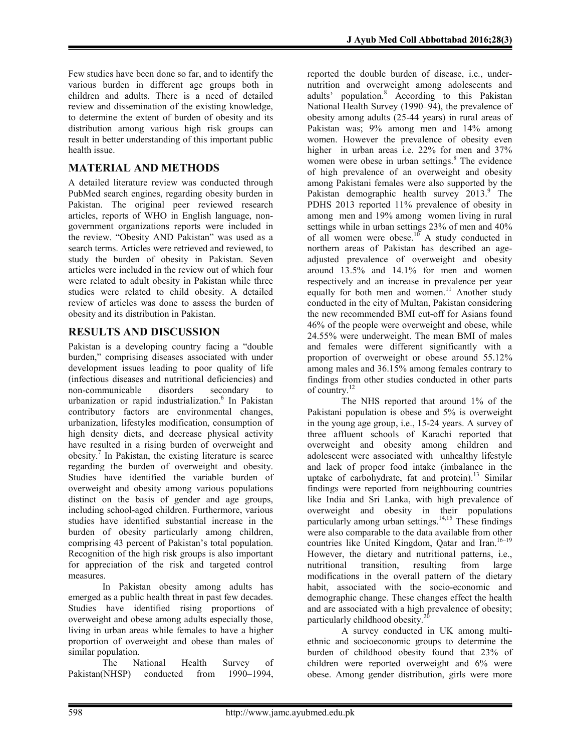Few studies have been done so far, and to identify the various burden in different age groups both in children and adults. There is a need of detailed review and dissemination of the existing knowledge, to determine the extent of burden of obesity and its distribution among various high risk groups can result in better understanding of this important public health issue.

# MATERIAL AND METHODS

A detailed literature review was conducted through PubMed search engines, regarding obesity burden in Pakistan. The original peer reviewed research articles, reports of WHO in English language, nongovernment organizations reports were included in the review. "Obesity AND Pakistan" was used as a search terms. Articles were retrieved and reviewed, to study the burden of obesity in Pakistan. Seven articles were included in the review out of which four were related to adult obesity in Pakistan while three studies were related to child obesity. A detailed review of articles was done to assess the burden of obesity and its distribution in Pakistan.

# RESULTS AND DISCUSSION

Pakistan is a developing country facing a "double burden," comprising diseases associated with under development issues leading to poor quality of life (infectious diseases and nutritional deficiencies) and non-communicable disorders secondary to urbanization or rapid industrialization. 6 In Pakistan contributory factors are environmental changes, urbanization, lifestyles modification, consumption of high density diets, and decrease physical activity have resulted in a rising burden of overweight and obesity. <sup>7</sup> In Pakistan, the existing literature is scarce regarding the burden of overweight and obesity. Studies have identified the variable burden of overweight and obesity among various populations distinct on the basis of gender and age groups, including school-aged children. Furthermore, various studies have identified substantial increase in the burden of obesity particularly among children, comprising 43 percent of Pakistan's total population. Recognition of the high risk groups is also important for appreciation of the risk and targeted control measures.

In Pakistan obesity among adults has emerged as a public health threat in past few decades. Studies have identified rising proportions of overweight and obese among adults especially those, living in urban areas while females to have a higher proportion of overweight and obese than males of similar population.<br>The National

Health Survey of Pakistan(NHSP) conducted from 1990–1994,

reported the double burden of disease, i.e., undernutrition and overweight among adolescents and adults' population. <sup>8</sup> According to this Pakistan National Health Survey (1990–94), the prevalence of obesity among adults (25-44 years) in rural areas of Pakistan was; 9% among men and 14% among women. However the prevalence of obesity even higher in urban areas i.e. 22% for men and 37% women were obese in urban settings. 8 The evidence of high prevalence of an overweight and obesity among Pakistani females were also supported by the Pakistan demographic health survey 2013.<sup>9</sup> The PDHS 2013 reported 11% prevalence of obesity in among men and 19% among women living in rural settings while in urban settings 23% of men and 40% of all women were obese.<sup>10</sup> A study conducted in northern areas of Pakistan has described an ageadjusted prevalence of overweight and obesity around 13.5% and 14.1% for men and women respectively and an increase in prevalence per year equally for both men and women.<sup>11</sup> Another study conducted in the city of Multan, Pakistan considering the new recommended BMI cut-off for Asians found 46% of the people were overweight and obese, while 24.55% were underweight. The mean BMI of males and females were different significantly with a proportion of overweight or obese around 55.12% among males and 36.15% among females contrary to findings from other studies conducted in other parts of country.<sup>12</sup>

The NHS reported that around 1% of the Pakistani population is obese and 5% is overweight in the young age group, i.e., 15-24 years. A survey of three affluent schools of Karachi reported that overweight and obesity among children and adolescent were associated with unhealthy lifestyle and lack of proper food intake (imbalance in the uptake of carbohydrate, fat and protein). <sup>13</sup> Similar findings were reported from neighbouring countries like India and Sri Lanka, with high prevalence of overweight and obesity in their populations particularly among urban settings. 14,15 These findings were also comparable to the data available from other countries like United Kingdom, Qatar and Iran.<sup>16-19</sup> However, the dietary and nutritional patterns, i.e., nutritional transition, resulting from large modifications in the overall pattern of the dietary habit, associated with the socio-economic and demographic change. These changes effect the health and are associated with a high prevalence of obesity; particularly childhood obesity.<sup>20</sup>

A survey conducted in UK among multiethnic and socioeconomic groups to determine the burden of childhood obesity found that 23% of children were reported overweight and 6% were obese. Among gender distribution, girls were more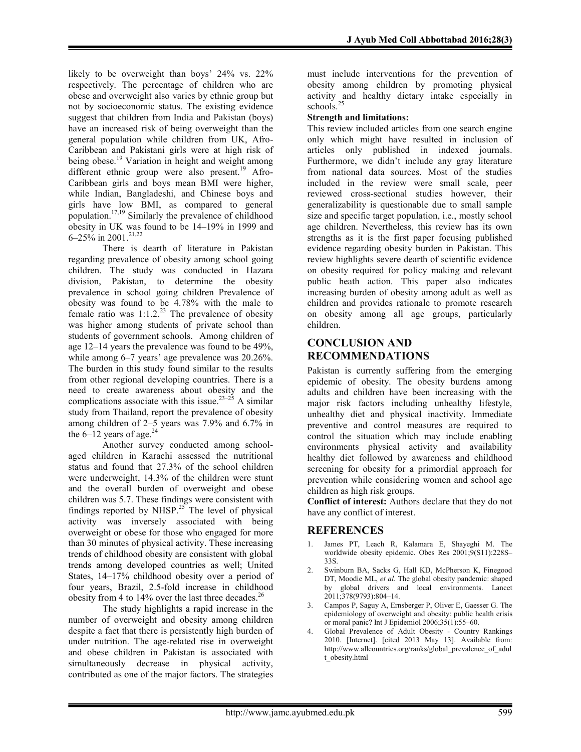likely to be overweight than boys' 24% vs. 22% respectively. The percentage of children who are obese and overweight also varies by ethnic group but not by socioeconomic status. The existing evidence suggest that children from India and Pakistan (boys) have an increased risk of being overweight than the general population while children from UK, Afro-Caribbean and Pakistani girls were at high risk of being obese.<sup>19</sup> Variation in height and weight among different ethnic group were also present.<sup>19</sup> Afro-Caribbean girls and boys mean BMI were higher, while Indian, Bangladeshi, and Chinese boys and girls have low BMI, as compared to general population.<sup>17,19</sup> Similarly the prevalence of childhood obesity in UK was found to be 14–19% in 1999 and 6–25% in 2001. 21,22

There is dearth of literature in Pakistan regarding prevalence of obesity among school going children. The study was conducted in Hazara division, Pakistan, to determine the obesity prevalence in school going children Prevalence of obesity was found to be 4.78% with the male to female ratio was  $1:1.2^{23}$  The prevalence of obesity was higher among students of private school than students of government schools. Among children of age 12–14 years the prevalence was found to be 49%, while among 6–7 years' age prevalence was 20.26%. The burden in this study found similar to the results from other regional developing countries. There is a need to create awareness about obesity and the complications associate with this issue.<sup>23–25</sup> A similar study from Thailand, report the prevalence of obesity among children of 2–5 years was 7.9% and 6.7% in the  $6-12$  years of age.<sup>24</sup>

Another survey conducted among schoolaged children in Karachi assessed the nutritional status and found that 27.3% of the school children were underweight, 14.3% of the children were stunt and the overall burden of overweight and obese children was 5.7. These findings were consistent with findings reported by NHSP. $25$  The level of physical activity was inversely associated with being overweight or obese for those who engaged for more than 30 minutes of physical activity. These increasing trends of childhood obesity are consistent with global trends among developed countries as well; United States, 14–17% childhood obesity over a period of four years, Brazil, 2.5-fold increase in childhood obesity from 4 to 14% over the last three decades.<sup>26</sup>

The study highlights a rapid increase in the number of overweight and obesity among children despite a fact that there is persistently high burden of under nutrition. The age-related rise in overweight and obese children in Pakistan is associated with simultaneously decrease in physical activity, contributed as one of the major factors. The strategies must include interventions for the prevention of obesity among children by promoting physical activity and healthy dietary intake especially in schools. 25

#### Strength and limitations:

This review included articles from one search engine only which might have resulted in inclusion of articles only published in indexed journals. Furthermore, we didn't include any gray literature from national data sources. Most of the studies included in the review were small scale, peer reviewed cross-sectional studies however, their generalizability is questionable due to small sample size and specific target population, i.e., mostly school age children. Nevertheless, this review has its own strengths as it is the first paper focusing published evidence regarding obesity burden in Pakistan. This review highlights severe dearth of scientific evidence on obesity required for policy making and relevant public heath action. This paper also indicates increasing burden of obesity among adult as well as children and provides rationale to promote research on obesity among all age groups, particularly children.

## CONCLUSION AND RECOMMENDATIONS

Pakistan is currently suffering from the emerging epidemic of obesity. The obesity burdens among adults and children have been increasing with the major risk factors including unhealthy lifestyle, unhealthy diet and physical inactivity. Immediate preventive and control measures are required to control the situation which may include enabling environments physical activity and availability healthy diet followed by awareness and childhood screening for obesity for a primordial approach for prevention while considering women and school age children as high risk groups.

Conflict of interest: Authors declare that they do not have any conflict of interest.

## REFERENCES

- James PT, Leach R, Kalamara E, Shayeghi M. The worldwide obesity epidemic. Obes Res 2001;9(S11):228S– 33S.
- 2. Swinburn BA, Sacks G, Hall KD, McPherson K, Finegood DT, Moodie ML, *et al*. The global obesity pandemic: shaped by global drivers and local environments. Lancet 2011;378(9793):804–14.
- 3. Campos P, Saguy A, Ernsberger P, Oliver E, Gaesser G. The epidemiology of overweight and obesity: public health crisis or moral panic? Int J Epidemiol 2006;35(1):55–60.
- 4. Global Prevalence of Adult Obesity Country Rankings 2010. [Internet]. [cited 2013 May 13]. Available from: http://www.allcountries.org/ranks/global\_prevalence\_of\_adul t\_obesity.html